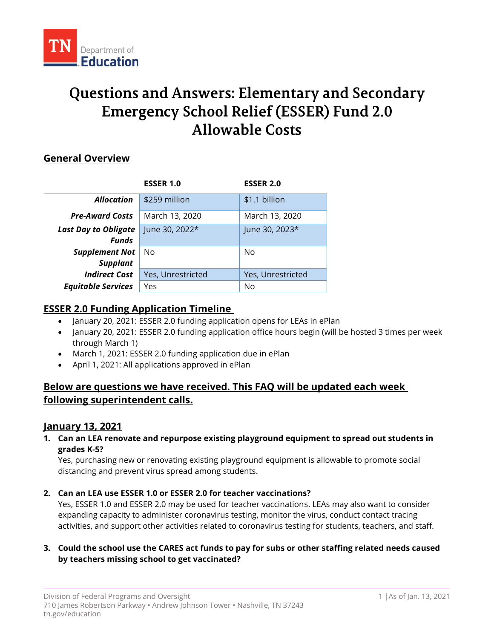

# **Questions and Answers: Elementary and Secondary Emergency School Relief (ESSER) Fund 2.0 Allowable Costs**

## **General Overview**

|                             | <b>ESSER 1.0</b>  | <b>ESSER 2.0</b>  |
|-----------------------------|-------------------|-------------------|
| <b>Allocation</b>           | \$259 million     | \$1.1 billion     |
| <b>Pre-Award Costs</b>      | March 13, 2020    | March 13, 2020    |
| <b>Last Day to Obligate</b> | June 30, 2022*    | June 30, 2023*    |
| <b>Funds</b>                |                   |                   |
| <b>Supplement Not</b>       | No                | No                |
| <b>Supplant</b>             |                   |                   |
| <b>Indirect Cost</b>        | Yes, Unrestricted | Yes, Unrestricted |
| <b>Equitable Services</b>   | Yes               | No                |

## **ESSER 2.0 Funding Application Timeline**

- January 20, 2021: ESSER 2.0 funding application opens for LEAs in ePlan
- January 20, 2021: ESSER 2.0 funding application office hours begin (will be hosted 3 times per week through March 1)
- March 1, 2021: ESSER 2.0 funding application due in ePlan
- April 1, 2021: All applications approved in ePlan

# **Below are questions we have received. This FAQ will be updated each week following superintendent calls.**

## **January 13, 2021**

**1. Can an LEA renovate and repurpose existing playground equipment to spread out students in grades K-5?**

Yes, purchasing new or renovating existing playground equipment is allowable to promote social distancing and prevent virus spread among students.

## **2. Can an LEA use ESSER 1.0 or ESSER 2.0 for teacher vaccinations?**

Yes, ESSER 1.0 and ESSER 2.0 may be used for teacher vaccinations. LEAs may also want to consider expanding capacity to administer coronavirus testing, monitor the virus, conduct contact tracing activities, and support other activities related to coronavirus testing for students, teachers, and staff.

## **3. Could the school use the CARES act funds to pay for subs or other staffing related needs caused by teachers missing school to get vaccinated?**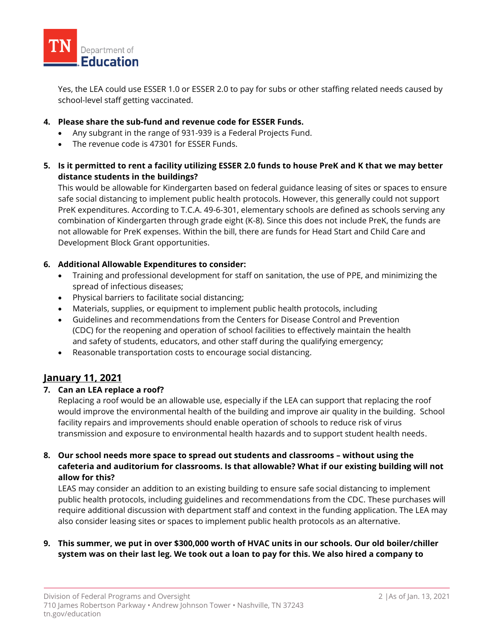

Yes, the LEA could use ESSER 1.0 or ESSER 2.0 to pay for subs or other staffing related needs caused by school-level staff getting vaccinated.

#### **4. Please share the sub-fund and revenue code for ESSER Funds.**

- Any subgrant in the range of 931-939 is a Federal Projects Fund.
- The revenue code is 47301 for ESSER Funds.
- **5. Is it permitted to rent a facility utilizing ESSER 2.0 funds to house PreK and K that we may better distance students in the buildings?**

This would be allowable for Kindergarten based on federal guidance leasing of sites or spaces to ensure safe social distancing to implement public health protocols. However, this generally could not support PreK expenditures. According to T.C.A. 49-6-301, elementary schools are defined as schools serving any combination of Kindergarten through grade eight (K-8). Since this does not include PreK, the funds are not allowable for PreK expenses. Within the bill, there are funds for Head Start and Child Care and Development Block Grant opportunities.

#### **6. Additional Allowable Expenditures to consider:**

- Training and professional development for staff on sanitation, the use of PPE, and minimizing the spread of infectious diseases;
- Physical barriers to facilitate social distancing;
- Materials, supplies, or equipment to implement public health protocols, including
- Guidelines and recommendations from the Centers for Disease Control and Prevention (CDC) for the reopening and operation of school facilities to effectively maintain the health and safety of students, educators, and other staff during the qualifying emergency;
- Reasonable transportation costs to encourage social distancing.

## **January 11, 2021**

#### **7. Can an LEA replace a roof?**

Replacing a roof would be an allowable use, especially if the LEA can support that replacing the roof would improve the environmental health of the building and improve air quality in the building. School facility repairs and improvements should enable operation of schools to reduce risk of virus transmission and exposure to environmental health hazards and to support student health needs.

#### **8. Our school needs more space to spread out students and classrooms – without using the cafeteria and auditorium for classrooms. Is that allowable? What if our existing building will not allow for this?**

LEAS may consider an addition to an existing building to ensure safe social distancing to implement public health protocols, including guidelines and recommendations from the CDC. These purchases will require additional discussion with department staff and context in the funding application. The LEA may also consider leasing sites or spaces to implement public health protocols as an alternative.

## **9. This summer, we put in over \$300,000 worth of HVAC units in our schools. Our old boiler/chiller system was on their last leg. We took out a loan to pay for this. We also hired a company to**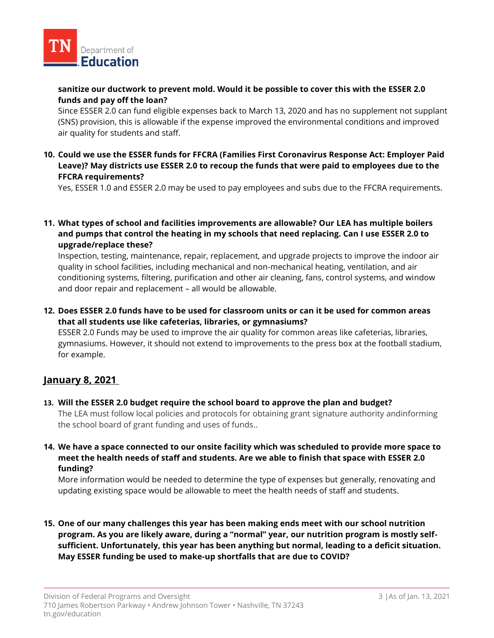

## **sanitize our ductwork to prevent mold. Would it be possible to cover this with the ESSER 2.0 funds and pay off the loan?**

Since ESSER 2.0 can fund eligible expenses back to March 13, 2020 and has no supplement not supplant (SNS) provision, this is allowable if the expense improved the environmental conditions and improved air quality for students and staff.

**10. Could we use the ESSER funds for FFCRA (Families First Coronavirus Response Act: Employer Paid Leave)? May districts use ESSER 2.0 to recoup the funds that were paid to employees due to the FFCRA requirements?**

Yes, ESSER 1.0 and ESSER 2.0 may be used to pay employees and subs due to the FFCRA requirements.

**11. What types of school and facilities improvements are allowable? Our LEA has multiple boilers and pumps that control the heating in my schools that need replacing. Can I use ESSER 2.0 to upgrade/replace these?**

Inspection, testing, maintenance, repair, replacement, and upgrade projects to improve the indoor air quality in school facilities, including mechanical and non-mechanical heating, ventilation, and air conditioning systems, filtering, purification and other air cleaning, fans, control systems, and window and door repair and replacement – all would be allowable.

**12. Does ESSER 2.0 funds have to be used for classroom units or can it be used for common areas that all students use like cafeterias, libraries, or gymnasiums?** 

ESSER 2.0 Funds may be used to improve the air quality for common areas like cafeterias, libraries, gymnasiums. However, it should not extend to improvements to the press box at the football stadium, for example.

## **January 8, 2021**

- **13. Will the ESSER 2.0 budget require the school board to approve the plan and budget?** The LEA must follow local policies and protocols for obtaining grant signature authority andinforming the school board of grant funding and uses of funds..
- **14. We have a space connected to our onsite facility which was scheduled to provide more space to meet the health needs of staff and students. Are we able to finish that space with ESSER 2.0 funding?**

More information would be needed to determine the type of expenses but generally, renovating and updating existing space would be allowable to meet the health needs of staff and students.

**15. One of our many challenges this year has been making ends meet with our school nutrition program. As you are likely aware, during a "normal" year, our nutrition program is mostly selfsufficient. Unfortunately, this year has been anything but normal, leading to a deficit situation. May ESSER funding be used to make-up shortfalls that are due to COVID?**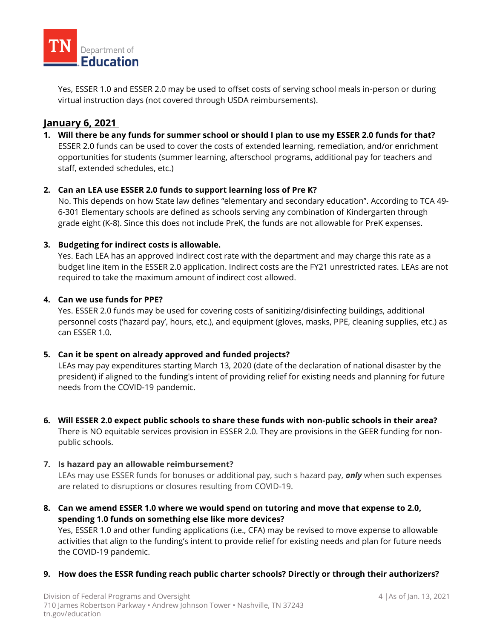

Yes, ESSER 1.0 and ESSER 2.0 may be used to offset costs of serving school meals in-person or during virtual instruction days (not covered through USDA reimbursements).

## **January 6, 2021**

**1. Will there be any funds for summer school or should I plan to use my ESSER 2.0 funds for that?**  ESSER 2.0 funds can be used to cover the costs of extended learning, remediation, and/or enrichment opportunities for students (summer learning, afterschool programs, additional pay for teachers and staff, extended schedules, etc.)

## **2. Can an LEA use ESSER 2.0 funds to support learning loss of Pre K?**

No. This depends on how State law defines "elementary and secondary education". According to TCA 49- 6-301 Elementary schools are defined as schools serving any combination of Kindergarten through grade eight (K-8). Since this does not include PreK, the funds are not allowable for PreK expenses.

#### **3. Budgeting for indirect costs is allowable.**

Yes. Each LEA has an approved indirect cost rate with the department and may charge this rate as a budget line item in the ESSER 2.0 application. Indirect costs are the FY21 unrestricted rates. LEAs are not required to take the maximum amount of indirect cost allowed.

#### **4. Can we use funds for PPE?**

Yes. ESSER 2.0 funds may be used for covering costs of sanitizing/disinfecting buildings, additional personnel costs ('hazard pay', hours, etc.), and equipment (gloves, masks, PPE, cleaning supplies, etc.) as can ESSER 1.0.

## **5. Can it be spent on already approved and funded projects?**

LEAs may pay expenditures starting March 13, 2020 (date of the declaration of national disaster by the president) if aligned to the funding's intent of providing relief for existing needs and planning for future needs from the COVID-19 pandemic.

**6. Will ESSER 2.0 expect public schools to share these funds with non-public schools in their area?** There is NO equitable services provision in ESSER 2.0. They are provisions in the GEER funding for nonpublic schools.  

#### **7. Is hazard pay an allowable reimbursement?**

LEAs may use ESSER funds for bonuses or additional pay, such s hazard pay, *only* when such expenses are related to disruptions or closures resulting from COVID-19.

- **8. Can we amend ESSER 1.0 where we would spend on tutoring and move that expense to 2.0, spending 1.0 funds on something else like more devices?** Yes, ESSER 1.0 and other funding applications (i.e., CFA) may be revised to move expense to allowable activities that align to the funding's intent to provide relief for existing needs and plan for future needs the COVID-19 pandemic.
- **9. How does the ESSR funding reach public charter schools? Directly or through their authorizers?**